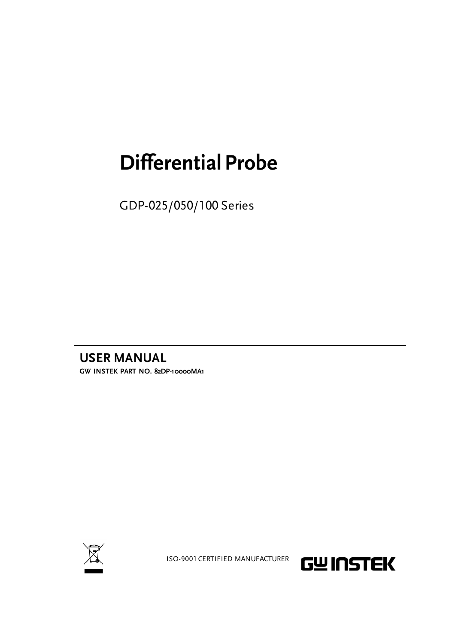## **Differential Probe**

GDP-025/050/100 Series

**USER MANUAL GW INSTEK PART NO. 82DP-10000MA1**



ISO-9001 CERTIFIED MANUFACTURER

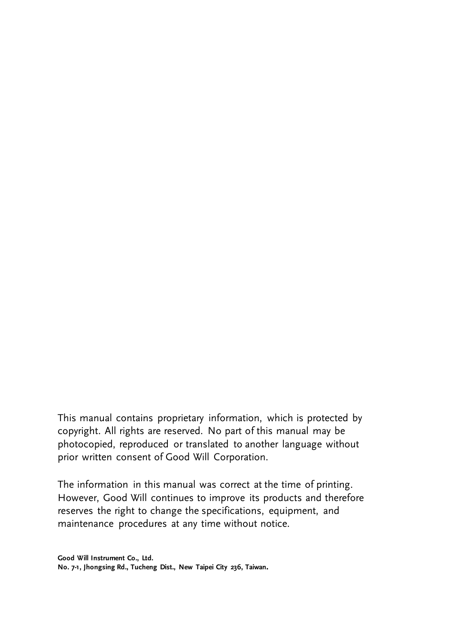This manual contains proprietary information, which is protected by copyright. All rights are reserved. No part of this manual may be photocopied, reproduced or translated to another language without prior written consent of Good Will Corporation.

The information in this manual was correct at the time of printing. However, Good Will continues to improve its products and therefore reserves the right to change the specifications, equipment, and maintenance procedures at any time without notice.

**Good Will Instrument Co., Ltd. No. 7-1, Jhongsing Rd., Tucheng Dist., New Taipei City 236, Taiwan.**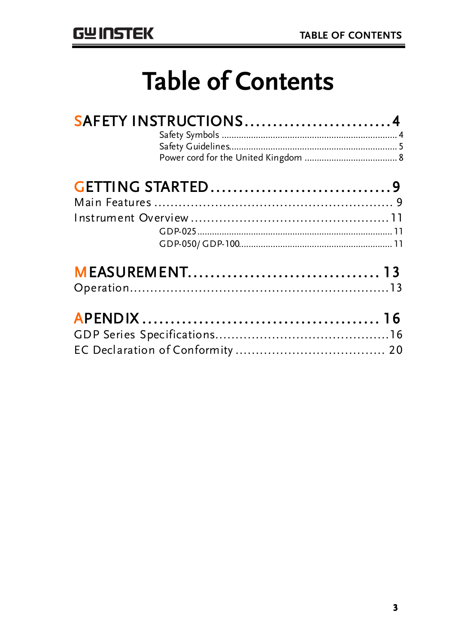## **Table of Contents**

| SAFETY INSTRUCTIONS4 |  |
|----------------------|--|
|                      |  |
|                      |  |
|                      |  |
|                      |  |
|                      |  |
|                      |  |
|                      |  |
|                      |  |
|                      |  |
|                      |  |
|                      |  |
|                      |  |
|                      |  |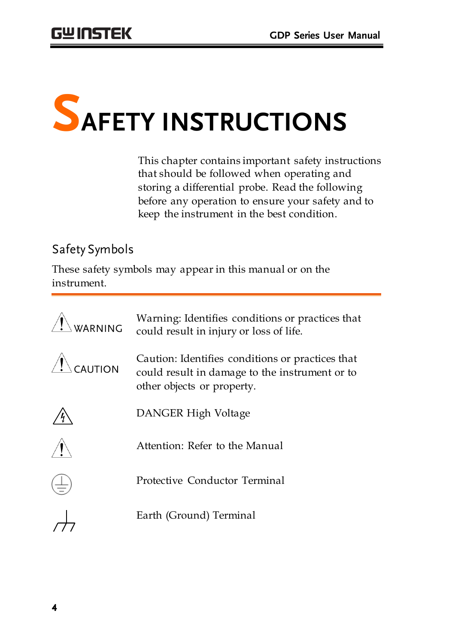

This chapter contains important safety instructions that should be followed when operating and storing a differential probe. Read the following before any operation to ensure your safety and to keep the instrument in the best condition.

#### Safety Symbols

These safety symbols may appear in this manual or on the instrument.

| WARNING | Warning: Identifies conditions or practices that<br>could result in injury or loss of life.                                      |
|---------|----------------------------------------------------------------------------------------------------------------------------------|
| CAUTION | Caution: Identifies conditions or practices that<br>could result in damage to the instrument or to<br>other objects or property. |
|         | DANGER High Voltage                                                                                                              |
|         | Attention: Refer to the Manual                                                                                                   |
|         | Protective Conductor Terminal                                                                                                    |
|         | Earth (Ground) Terminal                                                                                                          |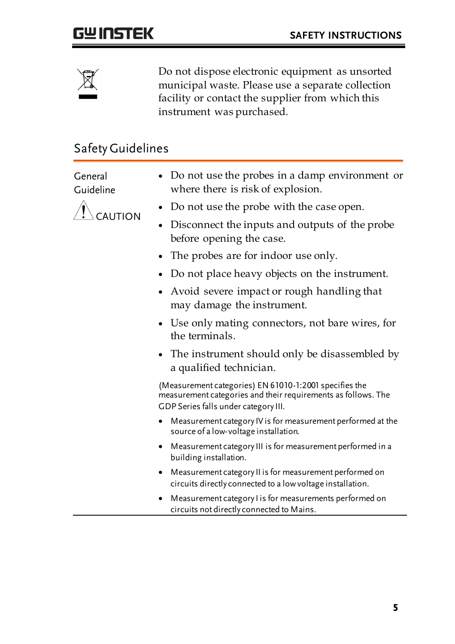

Do not dispose electronic equipment as unsorted municipal waste. Please use a separate collection facility or contact the supplier from which this instrument was purchased.

#### Safety Guidelines

General Guideline

- CAUTION
- Do not use the probes in a damp environment or where there is risk of explosion.
- Do not use the probe with the case open.
- Disconnect the inputs and outputs of the probe before opening the case.
- The probes are for indoor use only.
- Do not place heavy objects on the instrument.
- Avoid severe impact or rough handling that may damage the instrument.
- Use only mating connectors, not bare wires, for the terminals.
- The instrument should only be disassembled by a qualified technician.

(Measurement categories) EN 61010-1:2001 specifies the measurement categories and their requirements as follows. The GDP Series falls under category III.

- Measurement category IV is for measurement performed at the source of a low-voltage installation.
- Measurement category III is for measurement performed in a building installation.
- Measurement category II is for measurement performed on circuits directly connected to a low voltage installation.
- Measurement category I is for measurements performed on circuits not directly connected to Mains.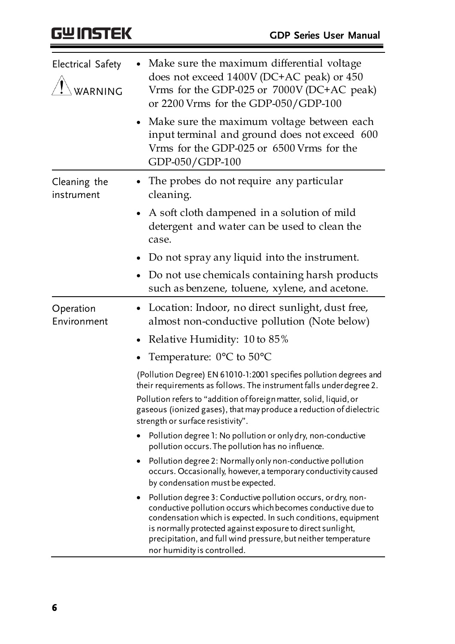| Electrical Safety<br>WARNING | Make sure the maximum differential voltage<br>does not exceed 1400V (DC+AC peak) or 450<br>Vrms for the GDP-025 or 7000V (DC+AC peak)<br>or 2200 Vrms for the GDP-050/GDP-100                                                                                                                                                                                |
|------------------------------|--------------------------------------------------------------------------------------------------------------------------------------------------------------------------------------------------------------------------------------------------------------------------------------------------------------------------------------------------------------|
|                              | Make sure the maximum voltage between each<br>input terminal and ground does not exceed 600<br>Vrms for the GDP-025 or 6500 Vrms for the<br>GDP-050/GDP-100                                                                                                                                                                                                  |
| Cleaning the<br>instrument   | The probes do not require any particular<br>$\bullet$<br>cleaning.                                                                                                                                                                                                                                                                                           |
|                              | A soft cloth dampened in a solution of mild<br>detergent and water can be used to clean the<br>case.                                                                                                                                                                                                                                                         |
|                              | Do not spray any liquid into the instrument.                                                                                                                                                                                                                                                                                                                 |
|                              | Do not use chemicals containing harsh products<br>such as benzene, toluene, xylene, and acetone.                                                                                                                                                                                                                                                             |
| Operation<br>Environment     | Location: Indoor, no direct sunlight, dust free,<br>almost non-conductive pollution (Note below)                                                                                                                                                                                                                                                             |
|                              | Relative Humidity: 10 to 85%                                                                                                                                                                                                                                                                                                                                 |
|                              | Temperature: $0^{\circ}$ C to 50 $^{\circ}$ C                                                                                                                                                                                                                                                                                                                |
|                              | (Pollution Degree) EN 61010-1:2001 specifies pollution degrees and<br>their requirements as follows. The instrument falls under degree 2.                                                                                                                                                                                                                    |
|                              | Pollution refers to "addition of foreign matter, solid, liquid, or<br>gaseous (ionized gases), that may produce a reduction of dielectric<br>strength or surface resistivity".                                                                                                                                                                               |
|                              | Pollution degree 1: No pollution or only dry, non-conductive<br>pollution occurs. The pollution has no influence.                                                                                                                                                                                                                                            |
|                              | Pollution degree 2: Normally only non-conductive pollution<br>occurs. Occasionally, however, a temporary conductivity caused<br>by condensation must be expected.                                                                                                                                                                                            |
|                              | Pollution degree 3: Conductive pollution occurs, or dry, non-<br>conductive pollution occurs which becomes conductive due to<br>condensation which is expected. In such conditions, equipment<br>is normally protected against exposure to direct sunlight,<br>precipitation, and full wind pressure, but neither temperature<br>nor humidity is controlled. |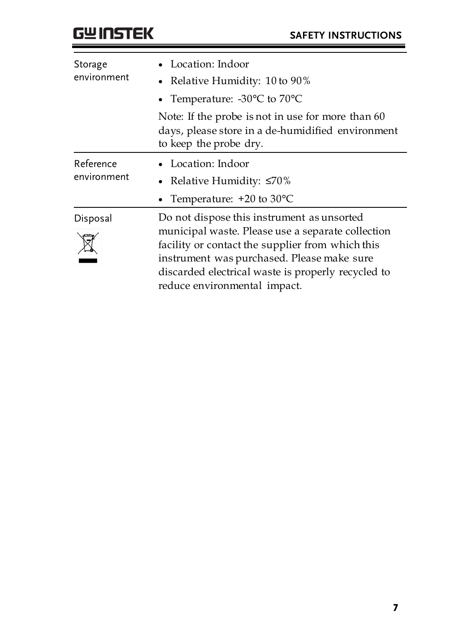| Storage<br>environment   | Location: Indoor<br>• Relative Humidity: 10 to 90%<br>• Temperature: $-30^{\circ}$ C to $70^{\circ}$ C                                                                                                                                                                                  |
|--------------------------|-----------------------------------------------------------------------------------------------------------------------------------------------------------------------------------------------------------------------------------------------------------------------------------------|
|                          | Note: If the probe is not in use for more than 60<br>days, please store in a de-humidified environment<br>to keep the probe dry.                                                                                                                                                        |
| Reference<br>environment | • Location: Indoor<br>• Relative Humidity: $\leq 70\%$<br>• Temperature: $+20$ to 30 $^{\circ}$ C                                                                                                                                                                                       |
| Disposal                 | Do not dispose this instrument as unsorted<br>municipal waste. Please use a separate collection<br>facility or contact the supplier from which this<br>instrument was purchased. Please make sure<br>discarded electrical waste is properly recycled to<br>reduce environmental impact. |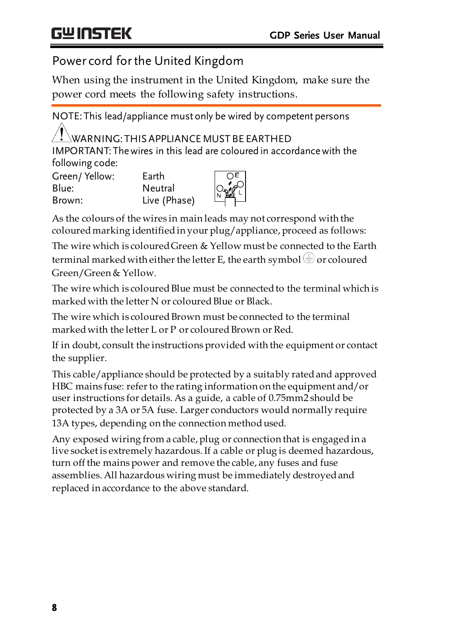#### Power cord forthe United Kingdom

When using the instrument in the United Kingdom, make sure the power cord meets the following safety instructions.

NOTE: This lead/appliance must only be wired by competent persons  $\mathcal{N}$  warning: this appliance must be earthed IMPORTANT: The wires in this lead are coloured in accordance with the following code: Green/ Yellow: Earth ΩE Blue: Neutral Brown: Live (Phase)

As the colours of the wires in main leads may not correspond with the coloured marking identified in your plug/appliance, proceed as follows:

The wire which is coloured Green & Yellow must be connected to the Earth terminal marked with either the letter E, the earth symbol  $\bigcirc$  or coloured Green/Green & Yellow.

The wire which is coloured Blue must be connected to the terminal which is marked with the letter N or coloured Blue or Black

The wire which is coloured Brown must be connected to the terminal marked with the letter L or P or coloured Brown or Red.

If in doubt, consult the instructions provided with the equipment or contact the supplier.

This cable/appliance should be protected by a suitably rated and approved HBC mains fuse: refer to the rating information on the equipment and/or user instructions for details. As a guide, a cable of 0.75mm2 should be protected by a 3A or 5A fuse. Larger conductors would normally require 13A types, depending on the connection method used.

Any exposed wiring from a cable, plug or connection that is engaged in a live socket is extremely hazardous. If a cable or plug is deemed hazardous, turn off the mains power and remove the cable, any fuses and fuse assemblies. All hazardous wiring must be immediately destroyed and replaced in accordance to the above standard.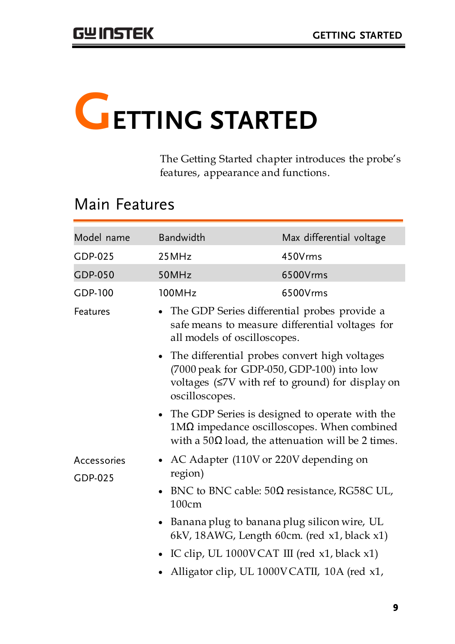# **GETTING STARTED**

The Getting Started chapter introduces the probe's features, appearance and functions.

## Main Features

| Model name     | Bandwidth                                                                                                                                                                 | Max differential voltage |  |  |  |
|----------------|---------------------------------------------------------------------------------------------------------------------------------------------------------------------------|--------------------------|--|--|--|
| GDP-025        | 25MHz                                                                                                                                                                     | 450Vrms                  |  |  |  |
| <b>GDP-050</b> | 50MHz                                                                                                                                                                     | 6500Vrms                 |  |  |  |
| <b>GDP-100</b> | 100MHz                                                                                                                                                                    | 6500Vrms                 |  |  |  |
| Features       | • The GDP Series differential probes provide a<br>safe means to measure differential voltages for<br>all models of oscilloscopes.                                         |                          |  |  |  |
|                | • The differential probes convert high voltages<br>(7000 peak for GDP-050, GDP-100) into low<br>voltages (≤7V with ref to ground) for display on<br>oscilloscopes.        |                          |  |  |  |
|                | • The GDP Series is designed to operate with the<br>$1\text{M}\Omega$ impedance oscilloscopes. When combined<br>with a 50 $\Omega$ load, the attenuation will be 2 times. |                          |  |  |  |
| Accessories    | • AC Adapter (110V or 220V depending on                                                                                                                                   |                          |  |  |  |
| GDP-025        | region)                                                                                                                                                                   |                          |  |  |  |
|                | BNC to BNC cable: $50\Omega$ resistance, RG58C UL,<br>100cm                                                                                                               |                          |  |  |  |
|                | • Banana plug to banana plug silicon wire, UL<br>6kV, 18AWG, Length 60cm. (red x1, black x1)                                                                              |                          |  |  |  |
|                | • IC clip, UL 1000VCAT III (red x1, black x1)                                                                                                                             |                          |  |  |  |
|                | • Alligator clip, UL 1000VCATII, 10A (red x1,                                                                                                                             |                          |  |  |  |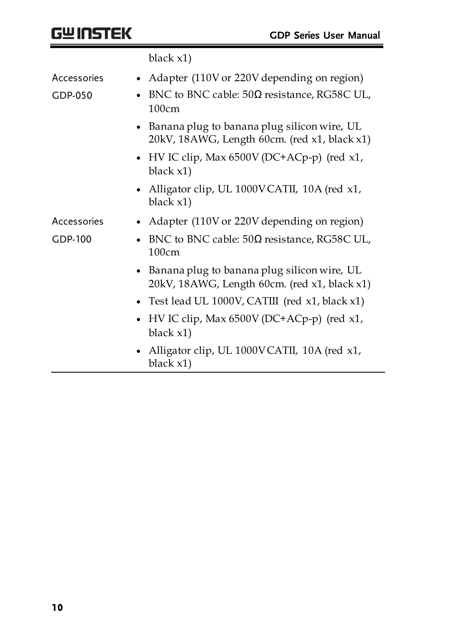|                | black $x1$ )                                                                                  |
|----------------|-----------------------------------------------------------------------------------------------|
| Accessories    | • Adapter (110V or 220V depending on region)                                                  |
| GDP-050        | BNC to BNC cable: 50Ω resistance, RG58C UL,<br>100cm                                          |
|                | Banana plug to banana plug silicon wire, UL<br>20kV, 18AWG, Length 60cm. (red x1, black x1)   |
|                | • HV IC clip, Max 6500V (DC+ACp-p) (red x1,<br>black $x1)$                                    |
|                | • Alligator clip, UL 1000VCATII, 10A (red x1,<br>black $x1)$                                  |
| Accessories    | • Adapter (110V or 220V depending on region)                                                  |
| <b>GDP-100</b> | BNC to BNC cable: $50\Omega$ resistance, RG58C UL,<br>100cm                                   |
|                | • Banana plug to banana plug silicon wire, UL<br>20kV, 18AWG, Length 60cm. (red x1, black x1) |
|                | • Test lead UL 1000V, CATIII (red x1, black x1)                                               |
|                | HV IC clip, Max $6500V$ (DC+ACp-p) (red x1,<br>black $x1)$                                    |
|                | Alligator clip, UL 1000VCATII, 10A (red x1,<br>black x1)                                      |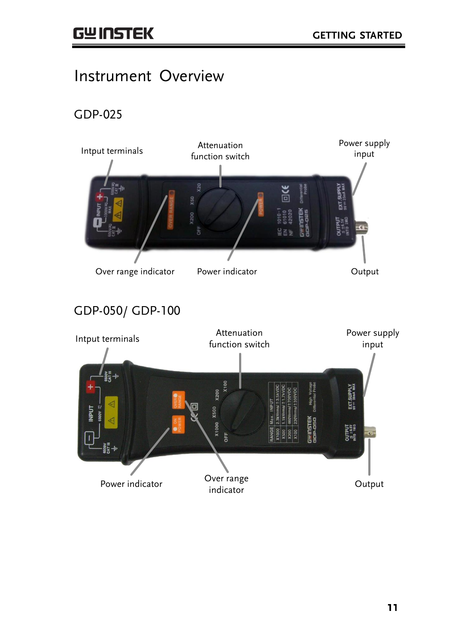#### Instrument Overview

GDP-025

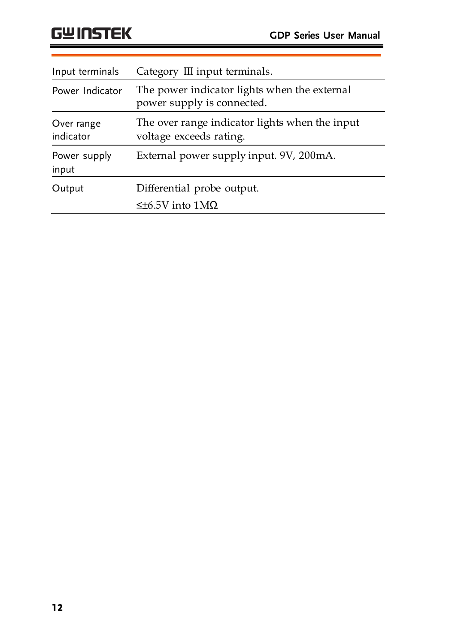| Input terminals         | Category III input terminals.                                              |  |  |
|-------------------------|----------------------------------------------------------------------------|--|--|
| Power Indicator         | The power indicator lights when the external<br>power supply is connected. |  |  |
| Over range<br>indicator | The over range indicator lights when the input<br>voltage exceeds rating.  |  |  |
| Power supply<br>input   | External power supply input. 9V, 200mA.                                    |  |  |
| Output                  | Differential probe output.<br>$≤±6.5V$ into 1MΩ                            |  |  |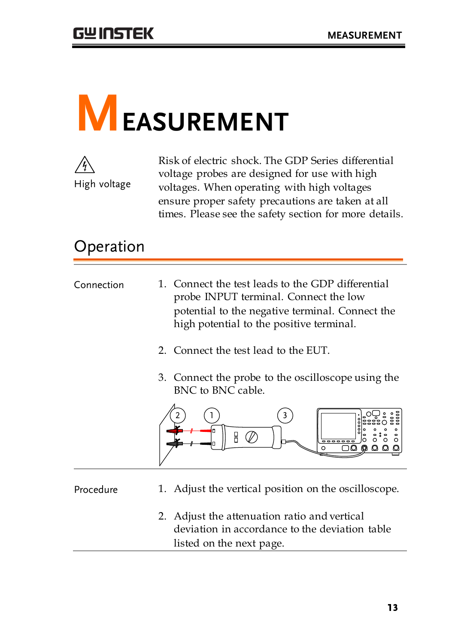# **MEASUREMENT**



Risk of electric shock. The GDP Series differential voltage probes are designed for use with high voltages. When operating with high voltages ensure proper safety precautions are taken at all times. Please see the safety section for more details.

## Operation

| Connection | 1. Connect the test leads to the GDP differential<br>probe INPUT terminal. Connect the low<br>potential to the negative terminal. Connect the<br>high potential to the positive terminal. |
|------------|-------------------------------------------------------------------------------------------------------------------------------------------------------------------------------------------|
|            | 2. Connect the test lead to the EUT.                                                                                                                                                      |

3. Connect the probe to the oscilloscope using the BNC to BNC cable.



- Procedure 1. Adjust the vertical position on the oscilloscope.
	- 2. Adjust the attenuation ratio and vertical deviation in accordance to the deviation table listed on the next page.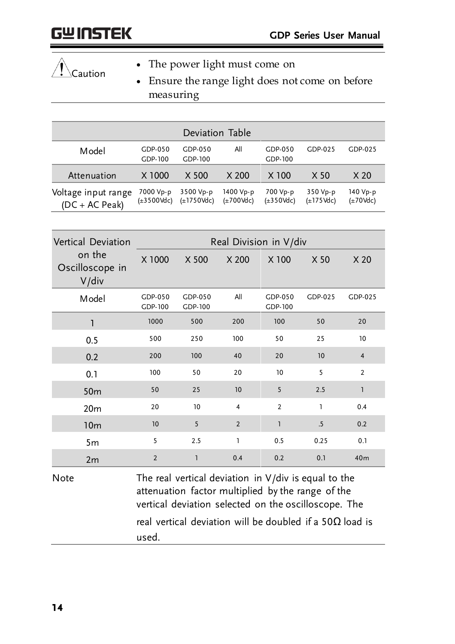## Caution

- The power light must come on
- Ensure the range light does not come on before measuring

| Deviation Table                         |                                      |                                      |                                     |                                    |                                     |                                   |
|-----------------------------------------|--------------------------------------|--------------------------------------|-------------------------------------|------------------------------------|-------------------------------------|-----------------------------------|
| Model                                   | $GDP-050$<br>GDP-100                 | GDP-050<br>GDP-100                   | All                                 | GDP-050<br>GDP-100                 | $GDP-025$                           | GDP-025                           |
| Attenuation                             | X 1000                               | X 500                                | X <sub>200</sub>                    | $X$ 100                            | X <sub>50</sub>                     | X <sub>20</sub>                   |
| Voltage input range<br>$(DC + AC Peak)$ | 7000 Vp-p<br>$(\pm 3500 \text{Vdc})$ | 3500 Vp-p<br>$(\pm 1750 \text{Vdc})$ | 1400 Vp-p<br>$(\pm 700 \text{Vdc})$ | 700 Vp-p<br>$(\pm 350 \text{Vdc})$ | 350 Vp-p<br>$(\pm 175 \text{ Vdc})$ | 140 Vp-p<br>$(\pm 70 \text{Vdc})$ |

| Vertical Deviation                    | Real Division in V/div |                    |                |                    |         |                |
|---------------------------------------|------------------------|--------------------|----------------|--------------------|---------|----------------|
| on the<br>Oscilloscope in<br>$V$ /div | X 1000                 | X 500              | X 200          | X 100              | X 50    | X 20           |
| Model                                 | GDP-050<br>GDP-100     | GDP-050<br>GDP-100 | All            | GDP-050<br>GDP-100 | GDP-025 | GDP-025        |
| 1                                     | 1000                   | 500                | 200            | 100                | 50      | 20             |
| 0.5                                   | 500                    | 250                | 100            | 50                 | 25      | 10             |
| 0.2                                   | 200                    | 100                | 40             | 20                 | 10      | $\overline{4}$ |
| 0.1                                   | 100                    | 50                 | 20             | 10                 | 5       | $\overline{2}$ |
| 50 <sub>m</sub>                       | 50                     | 25                 | 10             | 5                  | 2.5     | $\mathbf{1}$   |
| 20 <sub>m</sub>                       | 20                     | 10                 | $\overline{4}$ | $\overline{2}$     | I.      | 0.4            |
| 10 <sub>m</sub>                       | 10                     | 5                  | $\overline{2}$ | ı                  | .5      | 0.2            |
| 5 <sub>m</sub>                        | 5                      | 2.5                | I.             | 0.5                | 0.25    | 0.1            |
| 2m                                    | $\overline{2}$         | $\mathbf{1}$       | 0.4            | 0.2                | 0.1     | 40m            |

Note  $\blacksquare$  The real vertical deviation in V/div is equal to the attenuation factor multiplied by the range of the vertical deviation selected on the oscilloscope. The real vertical deviation will be doubled if a 50Ω load is used.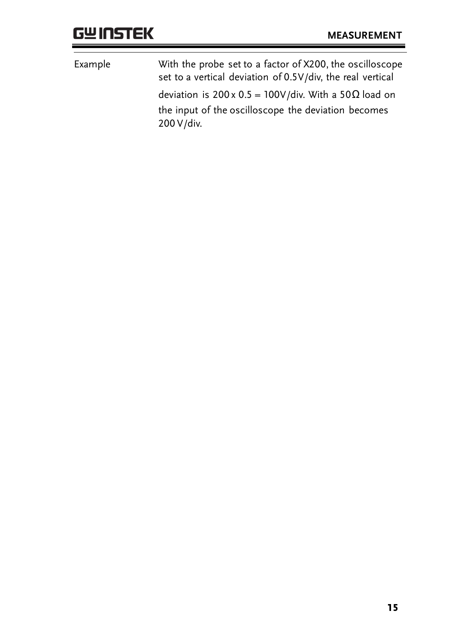| With the probe set to a factor of X200, the oscilloscope<br>set to a vertical deviation of 0.5V/div, the real vertical |
|------------------------------------------------------------------------------------------------------------------------|
| deviation is $200 \times 0.5 = 100 \text{V/div}$ . With a 50 $\Omega$ load on                                          |
| the input of the oscilloscope the deviation becomes<br>200 V/div.                                                      |
|                                                                                                                        |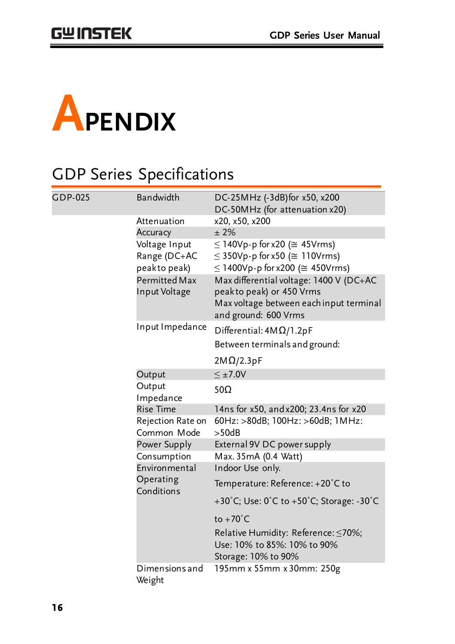

## GDP Series Specifications

| <b>GDP-025</b> | Bandwidth                             | DC-25MHz (-3dB)for x50, x200                                                                                   |
|----------------|---------------------------------------|----------------------------------------------------------------------------------------------------------------|
|                |                                       | DC-50MHz (for attenuation x20)                                                                                 |
|                | Attenuation                           | x20, x50, x200                                                                                                 |
|                | Accuracy                              | $±2\%$                                                                                                         |
|                | Voltage Input                         | $\leq$ 140Vp-p for x20 ( $\cong$ 45Vrms)                                                                       |
|                | Range (DC+AC                          | $\leq$ 350Vp-p for x50 ( $\cong$ 110Vrms)                                                                      |
|                | peakto peak)                          | $\leq$ 1400Vp-p for x200 ( $\cong$ 450Vrms)                                                                    |
|                | <b>Permitted Max</b><br>Input Voltage | Max differential voltage: 1400 V (DC+AC<br>peakto peak) or 450 Vrms<br>Max voltage between each input terminal |
|                |                                       | and ground: 600 Vrms                                                                                           |
|                | Input Impedance                       | Differential: $4M\Omega/1.2pF$                                                                                 |
|                |                                       | Between terminals and ground:                                                                                  |
|                |                                       | $2M\Omega/2.3pF$                                                                                               |
|                | Output                                | $\leq \pm 7.0V$                                                                                                |
|                | Output<br>Impedance                   | 50 $\Omega$                                                                                                    |
|                | <b>Rise Time</b>                      | 14ns for x50, and x200; 23.4ns for x20                                                                         |
|                | Rejection Rate on<br>Common Mode      | 60Hz: >80dB; 100Hz: >60dB; 1MHz:<br>>50dB                                                                      |
|                | Power Supply                          | External 9V DC power supply                                                                                    |
|                | Consumption                           | Max. 35mA (0.4 Watt)                                                                                           |
|                | Environmental                         | Indoor Use only.                                                                                               |
|                | Operating<br>Conditions               | Temperature: Reference: +20°C to                                                                               |
|                |                                       | +30°C; Use: $0^{\circ}$ C to +50°C; Storage: -30°C                                                             |
|                |                                       | to $+70^{\circ}$ C                                                                                             |
|                |                                       | Relative Humidity: Reference: < 70%;                                                                           |
|                |                                       | Use: 10% to 85%: 10% to 90%                                                                                    |
|                |                                       | Storage: 10% to 90%                                                                                            |
|                | Dimensions and<br>Weight              | 195mm x 55mm x 30mm: 250g                                                                                      |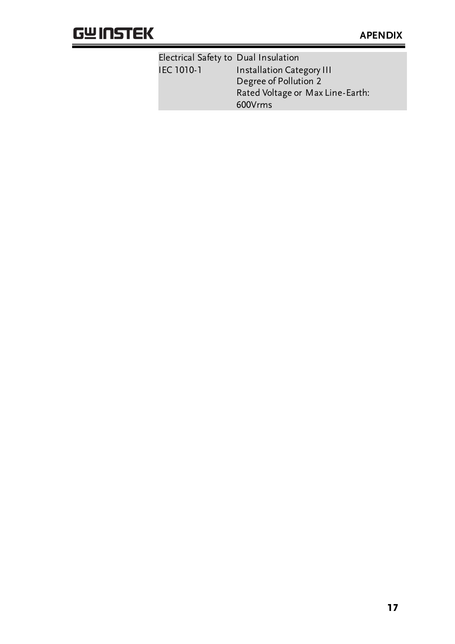#### **GWINSTEK**

| Electrical Safety to Dual Insulation |                                  |  |
|--------------------------------------|----------------------------------|--|
| IEC 1010-1                           | <b>Installation Category III</b> |  |
|                                      | Degree of Pollution 2            |  |
|                                      | Rated Voltage or Max Line-Earth: |  |
|                                      | 600Vrms                          |  |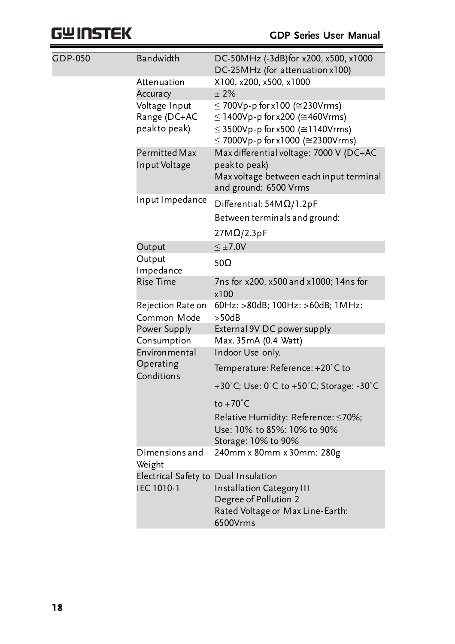## **GWINSTEK**

| <b>GDP-050</b> | Bandwidth                                          | DC-50MHz (-3dB)for x200, x500, x1000<br>DC-25MHz (for attenuation x100)                                                                                 |
|----------------|----------------------------------------------------|---------------------------------------------------------------------------------------------------------------------------------------------------------|
|                | Attenuation<br>Accuracy                            | X100, x200, x500, x1000<br>±2%                                                                                                                          |
|                | Voltage Input<br>Range (DC+AC<br>peakto peak)      | $\leq$ 700Vp-p for x100 ( $\approx$ 230Vrms)<br>≤ 1400Vp-p for x200 (≅460Vrms)<br>≤ 3500Vp-p for x500 (≅1140Vrms)<br>$≤ 7000Vp-p for x1000 (≥2300Vrms)$ |
|                | Permitted Max<br>Input Voltage                     | Max differential voltage: 7000 V (DC+AC<br>peakto peak)<br>Max voltage between each input terminal<br>and ground: 6500 Vrms                             |
|                | Input Impedance                                    | Differential: $54M\Omega/1.2pF$<br>Between terminals and ground:                                                                                        |
|                |                                                    | $27M\Omega/2.3pF$                                                                                                                                       |
|                | Output                                             | $\leq \pm 7.0V$                                                                                                                                         |
|                | Output<br>Impedance                                | 50Ω                                                                                                                                                     |
|                | <b>Rise Time</b>                                   | 7ns for x200, x500 and x1000; 14ns for<br>x100                                                                                                          |
|                | Rejection Rate on<br>Common Mode                   | 60Hz: >80dB; 100Hz: >60dB; 1MHz:<br>>50dB                                                                                                               |
|                | Power Supply                                       | External 9V DC power supply                                                                                                                             |
|                | Consumption                                        | Max. 35mA (0.4 Watt)                                                                                                                                    |
|                | Environmental                                      | Indoor Use only.                                                                                                                                        |
|                | Operating<br>Conditions                            | Temperature: Reference: +20°C to                                                                                                                        |
|                |                                                    | +30°C; Use: 0°C to +50°C; Storage: -30°C                                                                                                                |
|                |                                                    | $to +70^{\circ}C$                                                                                                                                       |
|                |                                                    | Relative Humidity: Reference: ≤70%;<br>Use: 10% to 85%: 10% to 90%<br>Storage: 10% to 90%                                                               |
|                | Dimensions and<br>Weight                           | 240mm x 80mm x 30mm: 280g                                                                                                                               |
|                | Electrical Safety to Dual Insulation<br>IEC 1010-1 | <b>Installation Category III</b><br>Degree of Pollution 2<br>Rated Voltage or Max Line-Earth:<br>6500Vrms                                               |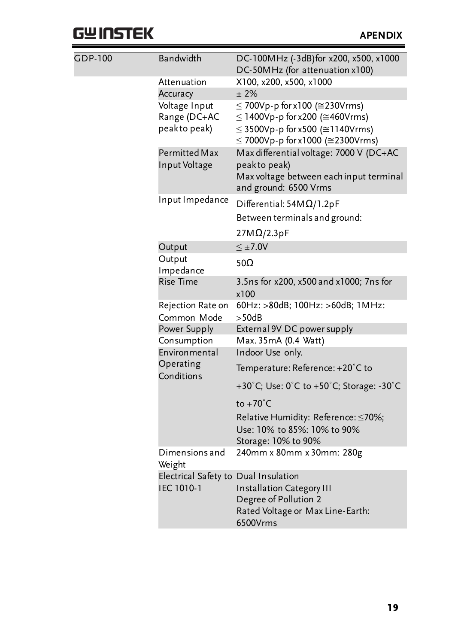## **GWINSTEK**

| <b>GDP-100</b> | Bandwidth                            | DC-100MHz (-3dB)for x200, x500, x1000<br>DC-50MHz (for attenuation x100) |
|----------------|--------------------------------------|--------------------------------------------------------------------------|
|                | Attenuation                          | X100, x200, x500, x1000                                                  |
|                | Accuracy                             | ± 2%                                                                     |
|                | Voltage Input                        | $\leq$ 700Vp-p for x100 ( $\approx$ 230Vrms)                             |
|                | Range (DC+AC                         | ≤ 1400Vp-p for x200 (≅460Vrms)                                           |
|                | peakto peak)                         | $≤$ 3500Vp-p for x500 (≅1140Vrms)<br>≤ 7000Vp-p for x1000 (≅2300Vrms)    |
|                | Permitted Max                        | Max differential voltage: 7000 V (DC+AC                                  |
|                | Input Voltage                        | peakto peak)                                                             |
|                |                                      | Max voltage between each input terminal                                  |
|                |                                      | and ground: 6500 Vrms                                                    |
|                | Input Impedance                      | Differential: $54M\Omega/1.2pF$                                          |
|                |                                      | Between terminals and ground:                                            |
|                |                                      | $27M\Omega/2.3pF$                                                        |
|                | Output                               | $\leq \pm 7.0$ V                                                         |
|                | Output<br>Impedance                  | 50 $\Omega$                                                              |
|                | <b>Rise Time</b>                     | 3.5ns for x200, x500 and x1000; 7ns for<br>x100                          |
|                | Rejection Rate on                    | 60Hz: >80dB; 100Hz: >60dB; 1MHz:                                         |
|                | Common Mode                          | >50dB                                                                    |
|                | Power Supply                         | External 9V DC power supply                                              |
|                | Consumption                          | Max. 35mA (0.4 Watt)                                                     |
|                | Environmental                        | Indoor Use only.                                                         |
|                | Operating<br>Conditions              | Temperature: Reference: +20°C to                                         |
|                |                                      | +30°C; Use: 0°C to +50°C; Storage: -30°C                                 |
|                |                                      | to $+70^{\circ}$ C                                                       |
|                |                                      | Relative Humidity: Reference: ≤70%;                                      |
|                |                                      | Use: 10% to 85%: 10% to 90%                                              |
|                |                                      | Storage: 10% to 90%                                                      |
|                | Dimensions and<br>Weight             | 240mm x 80mm x 30mm: 280g                                                |
|                | Electrical Safety to Dual Insulation |                                                                          |
|                | IEC 1010-1                           | <b>Installation Category III</b>                                         |
|                |                                      | Degree of Pollution 2                                                    |
|                |                                      | Rated Voltage or Max Line-Earth:<br>6500Vrms                             |